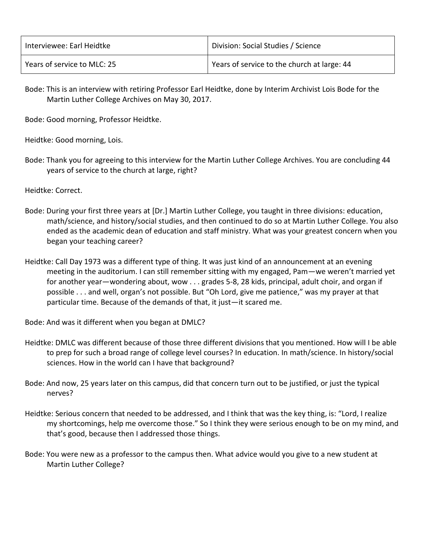| Interviewee: Earl Heidtke   | Division: Social Studies / Science          |
|-----------------------------|---------------------------------------------|
| Years of service to MLC: 25 | Years of service to the church at large: 44 |

Bode: This is an interview with retiring Professor Earl Heidtke, done by Interim Archivist Lois Bode for the Martin Luther College Archives on May 30, 2017.

Bode: Good morning, Professor Heidtke.

Heidtke: Good morning, Lois.

Bode: Thank you for agreeing to this interview for the Martin Luther College Archives. You are concluding 44 years of service to the church at large, right?

Heidtke: Correct.

- Bode: During your first three years at [Dr.] Martin Luther College, you taught in three divisions: education, math/science, and history/social studies, and then continued to do so at Martin Luther College. You also ended as the academic dean of education and staff ministry. What was your greatest concern when you began your teaching career?
- Heidtke: Call Day 1973 was a different type of thing. It was just kind of an announcement at an evening meeting in the auditorium. I can still remember sitting with my engaged, Pam—we weren't married yet for another year—wondering about, wow . . . grades 5-8, 28 kids, principal, adult choir, and organ if possible . . . and well, organ's not possible. But "Oh Lord, give me patience," was my prayer at that particular time. Because of the demands of that, it just—it scared me.

Bode: And was it different when you began at DMLC?

- Heidtke: DMLC was different because of those three different divisions that you mentioned. How will I be able to prep for such a broad range of college level courses? In education. In math/science. In history/social sciences. How in the world can I have that background?
- Bode: And now, 25 years later on this campus, did that concern turn out to be justified, or just the typical nerves?
- Heidtke: Serious concern that needed to be addressed, and I think that was the key thing, is: "Lord, I realize my shortcomings, help me overcome those." So I think they were serious enough to be on my mind, and that's good, because then I addressed those things.
- Bode: You were new as a professor to the campus then. What advice would you give to a new student at Martin Luther College?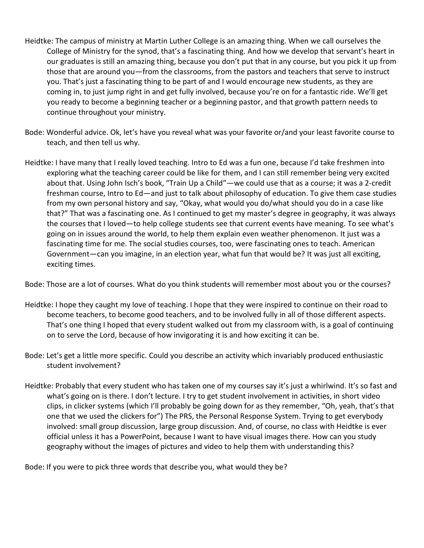- Heidtke: The campus of ministry at Martin Luther College is an amazing thing. When we call ourselves the College of Ministry for the synod, that's a fascinating thing. And how we develop that servant's heart in our graduates is still an amazing thing, because you don't put that in any course, but you pick it up from those that are around you—from the classrooms, from the pastors and teachers that serve to instruct you. That's just a fascinating thing to be part of and I would encourage new students, as they are coming in, to just jump right in and get fully involved, because you're on for a fantastic ride. We'll get you ready to become a beginning teacher or a beginning pastor, and that growth pattern needs to continue throughout your ministry.
- Bode: Wonderful advice. Ok, let's have you reveal what was your favorite or/and your least favorite course to teach, and then tell us why.
- Heidtke: I have many that I really loved teaching. Intro to Ed was a fun one, because I'd take freshmen into exploring what the teaching career could be like for them, and I can still remember being very excited about that. Using John Isch's book, "Train Up a Child"—we could use that as a course; it was a 2-credit freshman course, Intro to Ed—and just to talk about philosophy of education. To give them case studies from my own personal history and say, "Okay, what would you do/what should you do in a case like that?" That was a fascinating one. As I continued to get my master's degree in geography, it was always the courses that I loved—to help college students see that current events have meaning. To see what's going on in issues around the world, to help them explain even weather phenomenon. It just was a fascinating time for me. The social studies courses, too, were fascinating ones to teach. American Government—can you imagine, in an election year, what fun that would be? It was just all exciting, exciting times.

Bode: Those are a lot of courses. What do you think students will remember most about you or the courses?

- Heidtke: I hope they caught my love of teaching. I hope that they were inspired to continue on their road to become teachers, to become good teachers, and to be involved fully in all of those different aspects. That's one thing I hoped that every student walked out from my classroom with, is a goal of continuing on to serve the Lord, because of how invigorating it is and how exciting it can be.
- Bode: Let's get a little more specific. Could you describe an activity which invariably produced enthusiastic student involvement?
- Heidtke: Probably that every student who has taken one of my courses say it's just a whirlwind. It's so fast and what's going on is there. I don't lecture. I try to get student involvement in activities, in short video clips, in clicker systems (which I'll probably be going down for as they remember, "Oh, yeah, that's that one that we used the clickers for") The PRS, the Personal Response System. Trying to get everybody involved: small group discussion, large group discussion. And, of course, no class with Heidtke is ever official unless it has a PowerPoint, because I want to have visual images there. How can you study geography without the images of pictures and video to help them with understanding this?

Bode: If you were to pick three words that describe you, what would they be?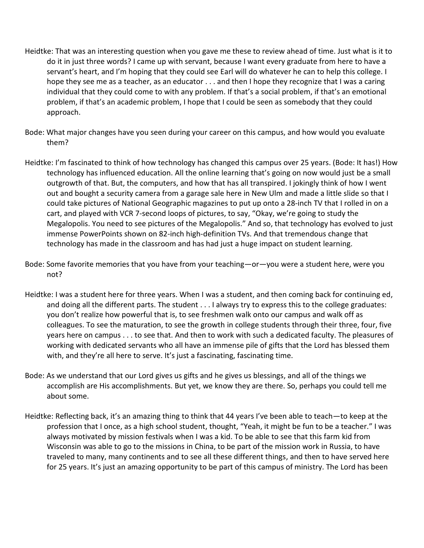- Heidtke: That was an interesting question when you gave me these to review ahead of time. Just what is it to do it in just three words? I came up with servant, because I want every graduate from here to have a servant's heart, and I'm hoping that they could see Earl will do whatever he can to help this college. I hope they see me as a teacher, as an educator . . . and then I hope they recognize that I was a caring individual that they could come to with any problem. If that's a social problem, if that's an emotional problem, if that's an academic problem, I hope that I could be seen as somebody that they could approach.
- Bode: What major changes have you seen during your career on this campus, and how would you evaluate them?
- Heidtke: I'm fascinated to think of how technology has changed this campus over 25 years. (Bode: It has!) How technology has influenced education. All the online learning that's going on now would just be a small outgrowth of that. But, the computers, and how that has all transpired. I jokingly think of how I went out and bought a security camera from a garage sale here in New Ulm and made a little slide so that I could take pictures of National Geographic magazines to put up onto a 28-inch TV that I rolled in on a cart, and played with VCR 7-second loops of pictures, to say, "Okay, we're going to study the Megalopolis. You need to see pictures of the Megalopolis." And so, that technology has evolved to just immense PowerPoints shown on 82-inch high-definition TVs. And that tremendous change that technology has made in the classroom and has had just a huge impact on student learning.
- Bode: Some favorite memories that you have from your teaching—or—you were a student here, were you not?
- Heidtke: I was a student here for three years. When I was a student, and then coming back for continuing ed, and doing all the different parts. The student . . . I always try to express this to the college graduates: you don't realize how powerful that is, to see freshmen walk onto our campus and walk off as colleagues. To see the maturation, to see the growth in college students through their three, four, five years here on campus . . . to see that. And then to work with such a dedicated faculty. The pleasures of working with dedicated servants who all have an immense pile of gifts that the Lord has blessed them with, and they're all here to serve. It's just a fascinating, fascinating time.
- Bode: As we understand that our Lord gives us gifts and he gives us blessings, and all of the things we accomplish are His accomplishments. But yet, we know they are there. So, perhaps you could tell me about some.
- Heidtke: Reflecting back, it's an amazing thing to think that 44 years I've been able to teach—to keep at the profession that I once, as a high school student, thought, "Yeah, it might be fun to be a teacher." I was always motivated by mission festivals when I was a kid. To be able to see that this farm kid from Wisconsin was able to go to the missions in China, to be part of the mission work in Russia, to have traveled to many, many continents and to see all these different things, and then to have served here for 25 years. It's just an amazing opportunity to be part of this campus of ministry. The Lord has been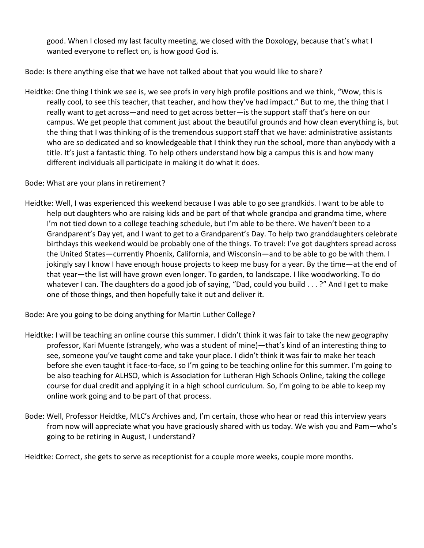good. When I closed my last faculty meeting, we closed with the Doxology, because that's what I wanted everyone to reflect on, is how good God is.

Bode: Is there anything else that we have not talked about that you would like to share?

Heidtke: One thing I think we see is, we see profs in very high profile positions and we think, "Wow, this is really cool, to see this teacher, that teacher, and how they've had impact." But to me, the thing that I really want to get across—and need to get across better—is the support staff that's here on our campus. We get people that comment just about the beautiful grounds and how clean everything is, but the thing that I was thinking of is the tremendous support staff that we have: administrative assistants who are so dedicated and so knowledgeable that I think they run the school, more than anybody with a title. It's just a fantastic thing. To help others understand how big a campus this is and how many different individuals all participate in making it do what it does.

Bode: What are your plans in retirement?

Heidtke: Well, I was experienced this weekend because I was able to go see grandkids. I want to be able to help out daughters who are raising kids and be part of that whole grandpa and grandma time, where I'm not tied down to a college teaching schedule, but I'm able to be there. We haven't been to a Grandparent's Day yet, and I want to get to a Grandparent's Day. To help two granddaughters celebrate birthdays this weekend would be probably one of the things. To travel: I've got daughters spread across the United States—currently Phoenix, California, and Wisconsin—and to be able to go be with them. I jokingly say I know I have enough house projects to keep me busy for a year. By the time—at the end of that year—the list will have grown even longer. To garden, to landscape. I like woodworking. To do whatever I can. The daughters do a good job of saying, "Dad, could you build . . . ?" And I get to make one of those things, and then hopefully take it out and deliver it.

Bode: Are you going to be doing anything for Martin Luther College?

- Heidtke: I will be teaching an online course this summer. I didn't think it was fair to take the new geography professor, Kari Muente (strangely, who was a student of mine)—that's kind of an interesting thing to see, someone you've taught come and take your place. I didn't think it was fair to make her teach before she even taught it face-to-face, so I'm going to be teaching online for this summer. I'm going to be also teaching for ALHSO, which is Association for Lutheran High Schools Online, taking the college course for dual credit and applying it in a high school curriculum. So, I'm going to be able to keep my online work going and to be part of that process.
- Bode: Well, Professor Heidtke, MLC's Archives and, I'm certain, those who hear or read this interview years from now will appreciate what you have graciously shared with us today. We wish you and Pam—who's going to be retiring in August, I understand?

Heidtke: Correct, she gets to serve as receptionist for a couple more weeks, couple more months.